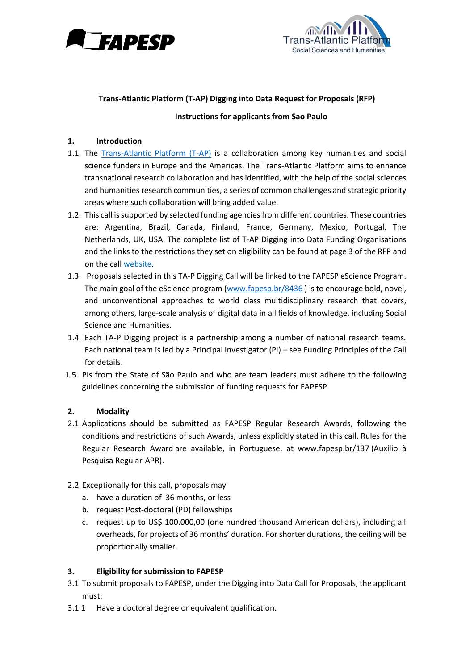



# **Trans-Atlantic Platform (T-AP) Digging into Data Request for Proposals (RFP)**

### **Instructions for applicants from Sao Paulo**

### **1. Introduction**

- 1.1. The [Trans-Atlantic Platform \(T-AP\)](http://www.transatlanticplatform.com/) is a collaboration among key humanities and social science funders in Europe and the Americas. The Trans-Atlantic Platform aims to enhance transnational research collaboration and has identified, with the help of the social sciences and humanities research communities, a series of common challenges and strategic priority areas where such collaboration will bring added value.
- 1.2. This call is supported by selected funding agencies from different countries. These countries are: Argentina, Brazil, Canada, Finland, France, Germany, Mexico, Portugal, The Netherlands, UK, USA. The complete list of T-AP Digging into Data Funding Organisations and the links to the restrictions they set on eligibility can be found at page 3 of the RFP and on the [call website.](http://www.transatlanticplatform.com/)
- 1.3. Proposals selected in this TA-P Digging Call will be linked to the FAPESP eScience Program. The main goal of the eScience program [\(www.fapesp.br/8436](http://www.fapesp.br/8436)) is to encourage bold, novel, and unconventional approaches to world class multidisciplinary research that covers, among others, large-scale analysis of digital data in all fields of knowledge, including Social Science and Humanities.
- 1.4. Each TA-P Digging project is a partnership among a number of national research teams. Each national team is led by a Principal Investigator (PI) – see Funding Principles of the Call for details.
- 1.5. PIs from the State of São Paulo and who are team leaders must adhere to the following guidelines concerning the submission of funding requests for FAPESP.

## **2. Modality**

- 2.1.Applications should be submitted as FAPESP Regular Research Awards, following the conditions and restrictions of such Awards, unless explicitly stated in this call. Rules for the Regular Research Award are available, in Portuguese, at [www.fapesp.br/137](http://www.fapesp.br/137) (Auxílio à Pesquisa Regular-APR).
- 2.2.Exceptionally for this call, proposals may
	- a. have a duration of 36 months, or less
	- b. request Post-doctoral (PD) fellowships
	- c. request up to US\$ 100.000,00 (one hundred thousand American dollars), including all overheads, for projects of 36 months' duration. For shorter durations, the ceiling will be proportionally smaller.

## **3. Eligibility for submission to FAPESP**

- 3.1 To submit proposals to FAPESP, under the Digging into Data Call for Proposals, the applicant must:
- 3.1.1 Have a doctoral degree or equivalent qualification.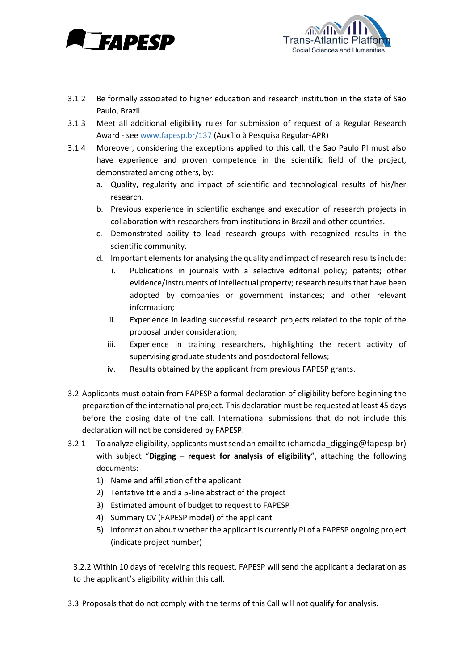



- 3.1.2 Be formally associated to higher education and research institution in the state of São Paulo, Brazil.
- 3.1.3 Meet all additional eligibility rules for submission of request of a Regular Research Award - see [www.fapesp.br/137](http://www.fapesp.br/137) (Auxílio à Pesquisa Regular-APR)
- 3.1.4 Moreover, considering the exceptions applied to this call, the Sao Paulo PI must also have experience and proven competence in the scientific field of the project, demonstrated among others, by:
	- a. Quality, regularity and impact of scientific and technological results of his/her research.
	- b. Previous experience in scientific exchange and execution of research projects in collaboration with researchers from institutions in Brazil and other countries.
	- c. Demonstrated ability to lead research groups with recognized results in the scientific community.
	- d. Important elements for analysing the quality and impact of research results include:
		- i. Publications in journals with a selective editorial policy; patents; other evidence/instruments of intellectual property; research results that have been adopted by companies or government instances; and other relevant information;
		- ii. Experience in leading successful research projects related to the topic of the proposal under consideration;
		- iii. Experience in training researchers, highlighting the recent activity of supervising graduate students and postdoctoral fellows;
		- iv. Results obtained by the applicant from previous FAPESP grants.
- 3.2 Applicants must obtain from FAPESP a formal declaration of eligibility before beginning the preparation of the international project. This declaration must be requested at least 45 days before the closing date of the call. International submissions that do not include this declaration will not be considered by FAPESP.
- 3.2.1 To analyze eligibility, applicants must send an email to ([chamada\\_digging@fapesp.br](mailto:chamada_digging@fapesp.br)) with subject "**Digging – request for analysis of eligibility**", attaching the following documents:
	- 1) Name and affiliation of the applicant
	- 2) Tentative title and a 5-line abstract of the project
	- 3) Estimated amount of budget to request to FAPESP
	- 4) Summary CV (FAPESP model) of the applicant
	- 5) Information about whether the applicant is currently PI of a FAPESP ongoing project (indicate project number)

3.2.2 Within 10 days of receiving this request, FAPESP will send the applicant a declaration as to the applicant's eligibility within this call.

3.3 Proposals that do not comply with the terms of this Call will not qualify for analysis.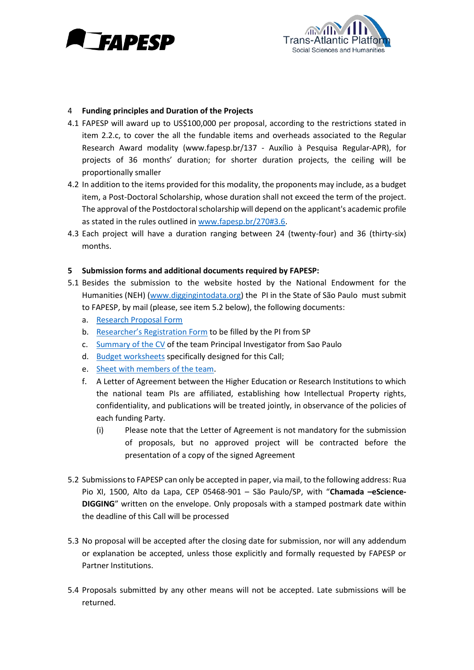



#### 4 **Funding principles and Duration of the Projects**

- 4.1 FAPESP will award up to US\$100,000 per proposal, according to the restrictions stated in item 2.2.c, to cover the all the fundable items and overheads associated to the Regular Research Award modality [\(www.fapesp.br/137](http://www.fapesp.br/137) - Auxílio à Pesquisa Regular-APR), for projects of 36 months' duration; for shorter duration projects, the ceiling will be proportionally smaller
- 4.2 In addition to the items provided for this modality, the proponents may include, as a budget item, a Post-Doctoral Scholarship, whose duration shall not exceed the term of the project. The approval of the Postdoctoral scholarship will depend on the applicant's academic profile as stated in the rules outlined in [www.fapesp.br/270#3.6.](http://www.fapesp.br/270#3.6)
- 4.3 Each project will have a duration ranging between 24 (twenty-four) and 36 (thirty-six) months.

#### **5 Submission forms and additional documents required by FAPESP:**

- 5.1 Besides the submission to the website hosted by the National Endowment for the Humanities (NEH) [\(www.diggingintodata.org\)](http://www.diggingintodata.org/) the PI in the State of São Paulo must submit to FAPESP, by mail (please, see item 5.2 below), the following documents:
	- a. [Research Proposal Form](http://www.fapesp.br/chamadas/2016/tap/tap_research_proposal_form.docx)
	- b. Researcher's [Registration Form](http://www.fapesp.br/chamadas/2016/tap/cadastro.pdf) to be filled by the PI from SP
	- c. [Summary](http://www.fapesp.br/en/6351) of the CV of the team Principal Investigator from Sao Paulo
	- d. [Budget worksheets](http://www.fapesp.br/chamadas/2016/tap/apr_budget.xlsx) specifically designed for this Call;
	- e. [Sheet with members of the team.](http://www.fapesp.br/chamadas/2016/tap/teamdescription.xls)
	- f. A Letter of Agreement between the Higher Education or Research Institutions to which the national team PIs are affiliated, establishing how Intellectual Property rights, confidentiality, and publications will be treated jointly, in observance of the policies of each funding Party.
		- (i) Please note that the Letter of Agreement is not mandatory for the submission of proposals, but no approved project will be contracted before the presentation of a copy of the signed Agreement
- 5.2 Submissions to FAPESP can only be accepted in paper, via mail, to the following address: Rua Pio XI, 1500, Alto da Lapa, CEP 05468-901 – São Paulo/SP, with "**Chamada –eScience-DIGGING**" written on the envelope. Only proposals with a stamped postmark date within the deadline of this Call will be processed
- 5.3 No proposal will be accepted after the closing date for submission, nor will any addendum or explanation be accepted, unless those explicitly and formally requested by FAPESP or Partner Institutions.
- 5.4 Proposals submitted by any other means will not be accepted. Late submissions will be returned.